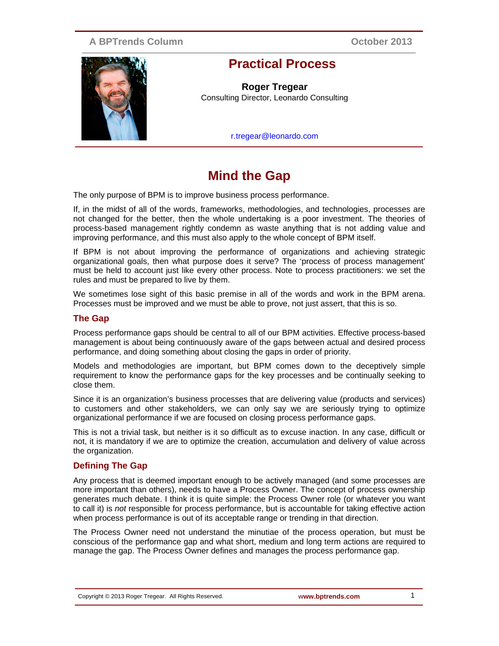## **A BPTrends Column**

**October 2013**



# **Practical Process**

**Roger Tregear** Consulting Director, Leonardo Consulting

r.tregear@leonardo.com

# **Mind the Gap**

The only purpose of BPM is to improve business process performance.

If, in the midst of all of the words, frameworks, methodologies, and technologies, processes are not changed for the better, then the whole undertaking is a poor investment. The theories of process-based management rightly condemn as waste anything that is not adding value and improving performance, and this must also apply to the whole concept of BPM itself.

If BPM is not about improving the performance of organizations and achieving strategic organizational goals, then what purpose does it serve? The 'process of process management' must be held to account just like every other process. Note to process practitioners: we set the rules and must be prepared to live by them.

We sometimes lose sight of this basic premise in all of the words and work in the BPM arena. Processes must be improved and we must be able to prove, not just assert, that this is so.

#### **The Gap**

Process performance gaps should be central to all of our BPM activities. Effective process-based management is about being continuously aware of the gaps between actual and desired process performance, and doing something about closing the gaps in order of priority.

Models and methodologies are important, but BPM comes down to the deceptively simple requirement to know the performance gaps for the key processes and be continually seeking to close them.

Since it is an organization's business processes that are delivering value (products and services) to customers and other stakeholders, we can only say we are seriously trying to optimize organizational performance if we are focused on closing process performance gaps.

This is not a trivial task, but neither is it so difficult as to excuse inaction. In any case, difficult or not, it is mandatory if we are to optimize the creation, accumulation and delivery of value across the organization.

#### **Defining The Gap**

Any process that is deemed important enough to be actively managed (and some processes are more important than others), needs to have a Process Owner. The concept of process ownership generates much debate. I think it is quite simple: the Process Owner role (or whatever you want to call it) is *not* responsible for process performance, but is accountable for taking effective action when process performance is out of its acceptable range or trending in that direction.

The Process Owner need not understand the minutiae of the process operation, but must be conscious of the performance gap and what short, medium and long term actions are required to manage the gap. The Process Owner defines and manages the process performance gap.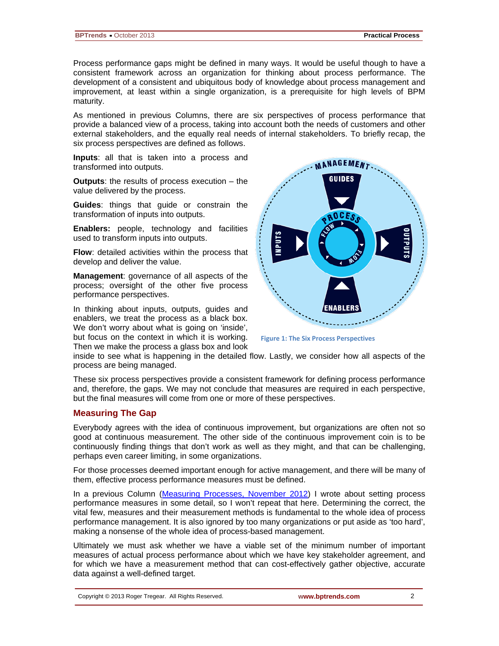Process performance gaps might be defined in many ways. It would be useful though to have a consistent framework across an organization for thinking about process performance. The development of a consistent and ubiquitous body of knowledge about process management and improvement, at least within a single organization, is a prerequisite for high levels of BPM maturity.

As mentioned in previous Columns, there are six perspectives of process performance that provide a balanced view of a process, taking into account both the needs of customers and other external stakeholders, and the equally real needs of internal stakeholders. To briefly recap, the six process perspectives are defined as follows.

**Inputs**: all that is taken into a process and transformed into outputs.

**Outputs**: the results of process execution – the value delivered by the process.

**Guides**: things that guide or constrain the transformation of inputs into outputs.

**Enablers:** people, technology and facilities used to transform inputs into outputs.

**Flow**: detailed activities within the process that develop and deliver the value.

**Management**: governance of all aspects of the process; oversight of the other five process performance perspectives.

In thinking about inputs, outputs, guides and enablers, we treat the process as a black box. We don't worry about what is going on 'inside', but focus on the context in which it is working. Then we make the process a glass box and look



**Figure 1: The Six Process Perspectives**

inside to see what is happening in the detailed flow. Lastly, we consider how all aspects of the process are being managed.

These six process perspectives provide a consistent framework for defining process performance and, therefore, the gaps. We may not conclude that measures are required in each perspective, but the final measures will come from one or more of these perspectives.

#### **Measuring The Gap**

Everybody agrees with the idea of continuous improvement, but organizations are often not so good at continuous measurement. The other side of the continuous improvement coin is to be continuously finding things that don't work as well as they might, and that can be challenging, perhaps even career limiting, in some organizations.

For those processes deemed important enough for active management, and there will be many of them, effective process performance measures must be defined.

In a previous Column [\(Measuring Processes, November 2012\)](http://www.bptrends.com/publicationfiles/11-06-2012-Practical%20Process_Measuring%20Processes-Tregear.pdf) I wrote about setting process performance measures in some detail, so I won't repeat that here. Determining the correct, the vital few, measures and their measurement methods is fundamental to the whole idea of process performance management. It is also ignored by too many organizations or put aside as 'too hard', making a nonsense of the whole idea of process-based management.

Ultimately we must ask whether we have a viable set of the minimum number of important measures of actual process performance about which we have key stakeholder agreement, and for which we have a measurement method that can cost-effectively gather objective, accurate data against a well-defined target.